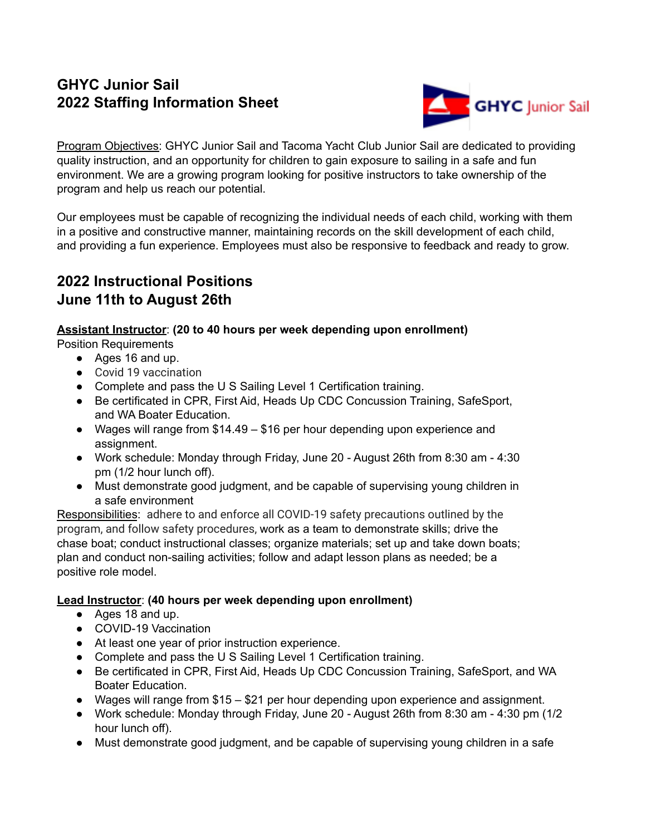# **GHYC Junior Sail 2022 Staffing Information Sheet**



Program Objectives: GHYC Junior Sail and Tacoma Yacht Club Junior Sail are dedicated to providing quality instruction, and an opportunity for children to gain exposure to sailing in a safe and fun environment. We are a growing program looking for positive instructors to take ownership of the program and help us reach our potential.

Our employees must be capable of recognizing the individual needs of each child, working with them in a positive and constructive manner, maintaining records on the skill development of each child, and providing a fun experience. Employees must also be responsive to feedback and ready to grow.

# **2022 Instructional Positions June 11th to August 26th**

### **Assistant Instructor**: **(20 to 40 hours per week depending upon enrollment)**

Position Requirements

- Ages 16 and up.
- Covid 19 vaccination
- Complete and pass the U S Sailing Level 1 Certification training.
- Be certificated in CPR, First Aid, Heads Up CDC Concussion Training, SafeSport, and WA Boater Education.
- Wages will range from \$14.49 \$16 per hour depending upon experience and assignment.
- Work schedule: Monday through Friday, June 20 August 26th from 8:30 am 4:30 pm (1/2 hour lunch off).
- Must demonstrate good judgment, and be capable of supervising young children in a safe environment

Responsibilities: adhere to and enforce all COVID-19 safety precautions outlined by the program, and follow safety procedures, work as a team to demonstrate skills; drive the chase boat; conduct instructional classes; organize materials; set up and take down boats; plan and conduct non-sailing activities; follow and adapt lesson plans as needed; be a positive role model.

### **Lead Instructor**: **(40 hours per week depending upon enrollment)**

- Ages 18 and up.
- COVID-19 Vaccination
- At least one year of prior instruction experience.
- Complete and pass the U S Sailing Level 1 Certification training.
- Be certificated in CPR, First Aid, Heads Up CDC Concussion Training, SafeSport, and WA Boater Education.
- Wages will range from \$15 \$21 per hour depending upon experience and assignment.
- Work schedule: Monday through Friday, June 20 August 26th from 8:30 am 4:30 pm (1/2 hour lunch off).
- Must demonstrate good judgment, and be capable of supervising young children in a safe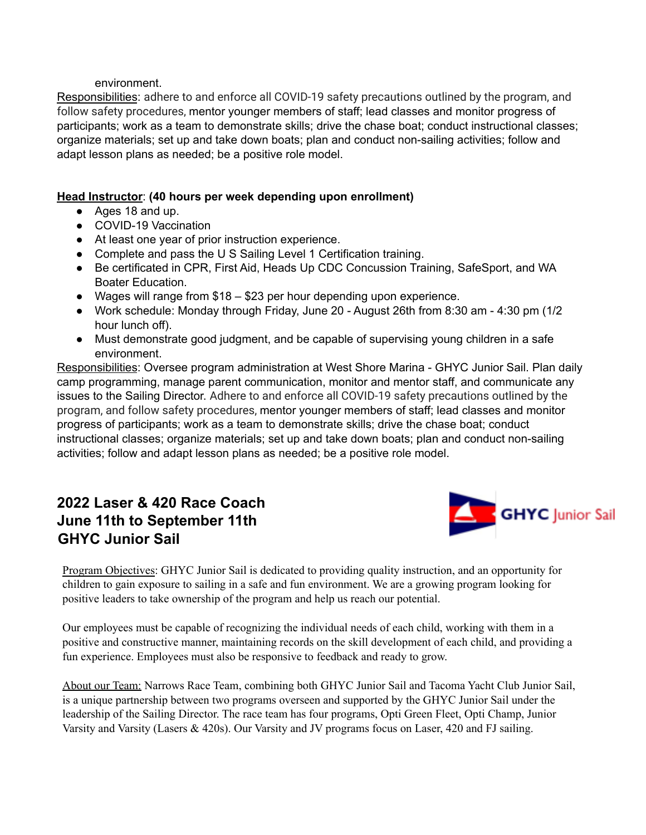#### environment.

Responsibilities: adhere to and enforce all COVID-19 safety precautions outlined by the program, and follow safety procedures, mentor younger members of staff; lead classes and monitor progress of participants; work as a team to demonstrate skills; drive the chase boat; conduct instructional classes; organize materials; set up and take down boats; plan and conduct non-sailing activities; follow and adapt lesson plans as needed; be a positive role model.

### **Head Instructor**: **(40 hours per week depending upon enrollment)**

- Ages 18 and up.
- COVID-19 Vaccination
- At least one year of prior instruction experience.
- Complete and pass the U S Sailing Level 1 Certification training.
- Be certificated in CPR, First Aid, Heads Up CDC Concussion Training, SafeSport, and WA Boater Education.
- Wages will range from \$18 \$23 per hour depending upon experience.
- Work schedule: Monday through Friday, June 20 August 26th from 8:30 am 4:30 pm (1/2 hour lunch off).
- Must demonstrate good judgment, and be capable of supervising young children in a safe environment.

Responsibilities: Oversee program administration at West Shore Marina - GHYC Junior Sail. Plan daily camp programming, manage parent communication, monitor and mentor staff, and communicate any issues to the Sailing Director. Adhere to and enforce all COVID-19 safety precautions outlined by the program, and follow safety procedures, mentor younger members of staff; lead classes and monitor progress of participants; work as a team to demonstrate skills; drive the chase boat; conduct instructional classes; organize materials; set up and take down boats; plan and conduct non-sailing activities; follow and adapt lesson plans as needed; be a positive role model.

### **2022 Laser & 420 Race Coach June 11th to September 11th GHYC Junior Sail**



Program Objectives: GHYC Junior Sail is dedicated to providing quality instruction, and an opportunity for children to gain exposure to sailing in a safe and fun environment. We are a growing program looking for positive leaders to take ownership of the program and help us reach our potential.

Our employees must be capable of recognizing the individual needs of each child, working with them in a positive and constructive manner, maintaining records on the skill development of each child, and providing a fun experience. Employees must also be responsive to feedback and ready to grow.

About our Team: Narrows Race Team, combining both GHYC Junior Sail and Tacoma Yacht Club Junior Sail, is a unique partnership between two programs overseen and supported by the GHYC Junior Sail under the leadership of the Sailing Director. The race team has four programs, Opti Green Fleet, Opti Champ, Junior Varsity and Varsity (Lasers & 420s). Our Varsity and JV programs focus on Laser, 420 and FJ sailing.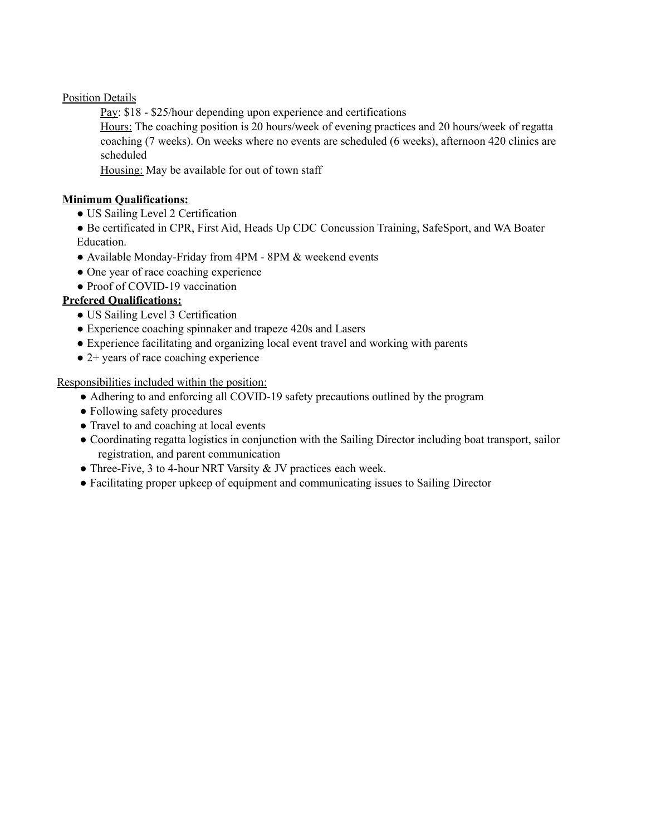Position Details

Pay: \$18 - \$25/hour depending upon experience and certifications

Hours: The coaching position is 20 hours/week of evening practices and 20 hours/week of regatta coaching (7 weeks). On weeks where no events are scheduled (6 weeks), afternoon 420 clinics are scheduled

Housing: May be available for out of town staff

#### **Minimum Qualifications:**

- US Sailing Level 2 Certification
- Be certificated in CPR, First Aid, Heads Up CDC Concussion Training, SafeSport, and WA Boater Education.
- Available Monday-Friday from 4PM 8PM & weekend events
- One year of race coaching experience
- Proof of COVID-19 vaccination

#### **Prefered Qualifications:**

- US Sailing Level 3 Certification
- Experience coaching spinnaker and trapeze 420s and Lasers
- Experience facilitating and organizing local event travel and working with parents
- 2+ years of race coaching experience

Responsibilities included within the position:

- Adhering to and enforcing all COVID-19 safety precautions outlined by the program
- Following safety procedures
- Travel to and coaching at local events
- Coordinating regatta logistics in conjunction with the Sailing Director including boat transport, sailor registration, and parent communication
- Three-Five, 3 to 4-hour NRT Varsity & JV practices each week.
- Facilitating proper upkeep of equipment and communicating issues to Sailing Director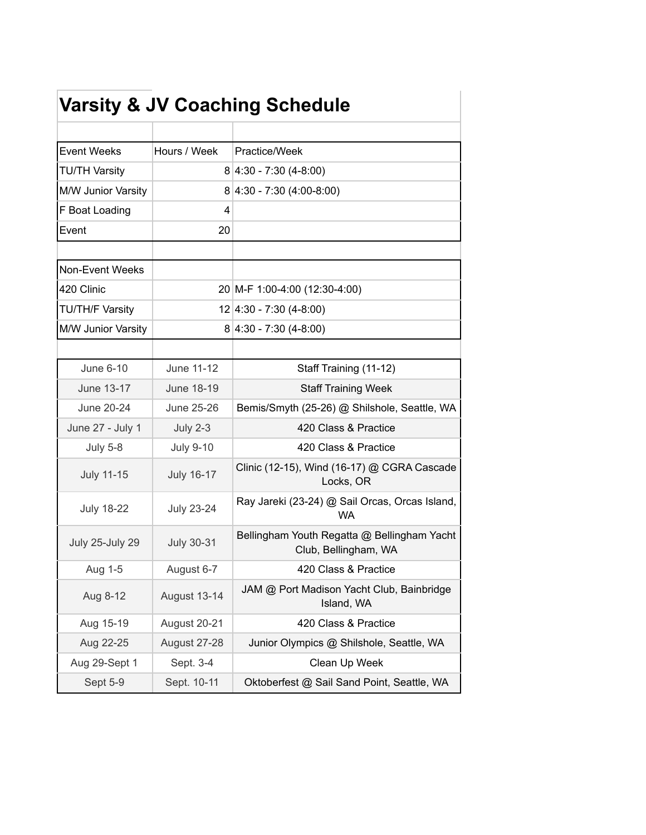|                        |                   | <b>Varsity &amp; JV Coaching Schedule</b>                           |
|------------------------|-------------------|---------------------------------------------------------------------|
|                        |                   |                                                                     |
| <b>Event Weeks</b>     | Hours / Week      | Practice/Week                                                       |
| <b>TU/TH Varsity</b>   |                   | $8 4:30 - 7:30(4-8:00)$                                             |
| M/W Junior Varsity     |                   | $8 4:30 - 7:30(4:00-8:00)$                                          |
| F Boat Loading         | 4                 |                                                                     |
| Event                  | 20                |                                                                     |
| Non-Event Weeks        |                   |                                                                     |
| 420 Clinic             |                   | 20 M-F 1:00-4:00 (12:30-4:00)                                       |
| <b>TU/TH/F Varsity</b> |                   | $12 \mid 4:30 - 7:30 \mid (4-8:00)$                                 |
| M/W Junior Varsity     |                   | $8 4:30 - 7:30(4-8:00)$                                             |
|                        |                   |                                                                     |
| June 6-10              | June 11-12        | Staff Training (11-12)                                              |
| June 13-17             | June 18-19        | <b>Staff Training Week</b>                                          |
| June 20-24             | June 25-26        | Bemis/Smyth (25-26) @ Shilshole, Seattle, WA                        |
| June 27 - July 1       | <b>July 2-3</b>   | 420 Class & Practice                                                |
| <b>July 5-8</b>        | <b>July 9-10</b>  | 420 Class & Practice                                                |
| <b>July 11-15</b>      | <b>July 16-17</b> | Clinic (12-15), Wind (16-17) @ CGRA Cascade<br>Locks, OR            |
| <b>July 18-22</b>      | <b>July 23-24</b> | Ray Jareki (23-24) @ Sail Orcas, Orcas Island,<br><b>WA</b>         |
| July 25-July 29        | <b>July 30-31</b> | Bellingham Youth Regatta @ Bellingham Yacht<br>Club, Bellingham, WA |
| Aug 1-5                | August 6-7        | 420 Class & Practice                                                |
| Aug 8-12               | August 13-14      | JAM @ Port Madison Yacht Club, Bainbridge<br>Island, WA             |
| Aug 15-19              | August 20-21      | 420 Class & Practice                                                |
| Aug 22-25              | August 27-28      | Junior Olympics @ Shilshole, Seattle, WA                            |
| Aug 29-Sept 1          | Sept. 3-4         | Clean Up Week                                                       |
| Sept 5-9               | Sept. 10-11       | Oktoberfest @ Sail Sand Point, Seattle, WA                          |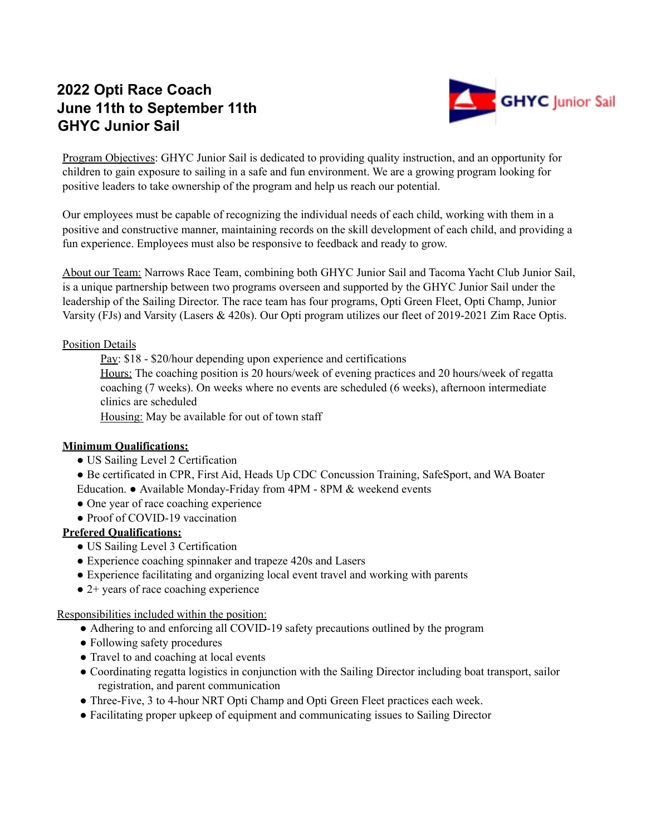# **2022 Opti Race Coach June 11th to September 11th GHYC Junior Sail**



Program Objectives: GHYC Junior Sail is dedicated to providing quality instruction, and an opportunity for children to gain exposure to sailing in a safe and fun environment. We are a growing program looking for positive leaders to take ownership of the program and help us reach our potential.

Our employees must be capable of recognizing the individual needs of each child, working with them in a positive and constructive manner, maintaining records on the skill development of each child, and providing a fun experience. Employees must also be responsive to feedback and ready to grow.

About our Team: Narrows Race Team, combining both GHYC Junior Sail and Tacoma Yacht Club Junior Sail, is a unique partnership between two programs overseen and supported by the GHYC Junior Sail under the leadership of the Sailing Director. The race team has four programs, Opti Green Fleet, Opti Champ, Junior Varsity (FJs) and Varsity (Lasers & 420s). Our Opti program utilizes our fleet of 2019-2021 Zim Race Optis.

#### Position Details

Pay: \$18 - \$20/hour depending upon experience and certifications

Hours: The coaching position is 20 hours/week of evening practices and 20 hours/week of regatta coaching (7 weeks). On weeks where no events are scheduled (6 weeks), afternoon intermediate clinics are scheduled

Housing: May be available for out of town staff

#### **Minimum Qualifications:**

- US Sailing Level 2 Certification
- Be certificated in CPR, First Aid, Heads Up CDC Concussion Training, SafeSport, and WA Boater Education. ● Available Monday-Friday from 4PM - 8PM & weekend events
- One year of race coaching experience
- Proof of COVID-19 vaccination

#### **Prefered Qualifications:**

- US Sailing Level 3 Certification
- Experience coaching spinnaker and trapeze 420s and Lasers
- Experience facilitating and organizing local event travel and working with parents
- 2+ years of race coaching experience

#### Responsibilities included within the position:

- Adhering to and enforcing all COVID-19 safety precautions outlined by the program
- Following safety procedures
- Travel to and coaching at local events
- Coordinating regatta logistics in conjunction with the Sailing Director including boat transport, sailor registration, and parent communication
- Three-Five, 3 to 4-hour NRT Opti Champ and Opti Green Fleet practices each week.
- Facilitating proper upkeep of equipment and communicating issues to Sailing Director